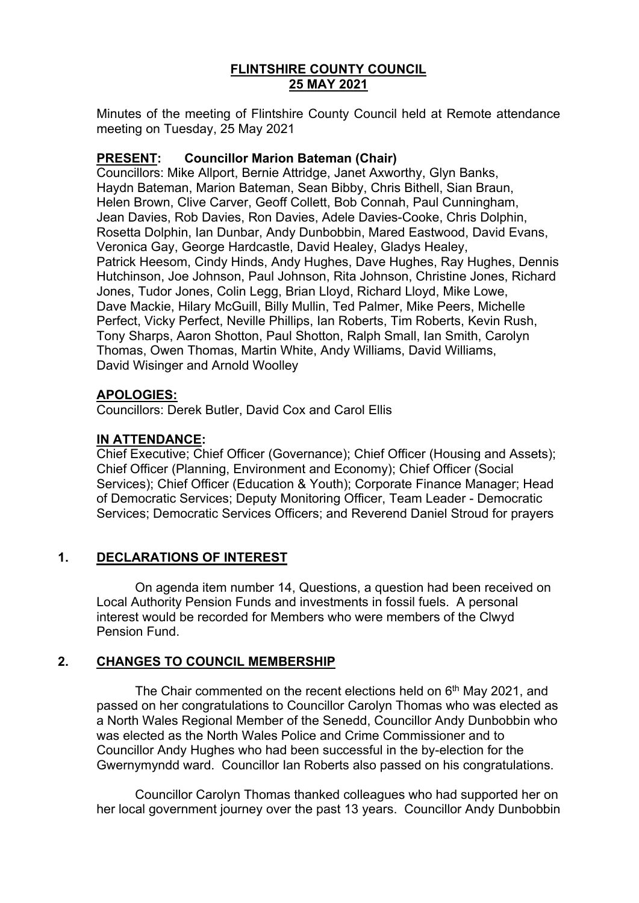# **FLINTSHIRE COUNTY COUNCIL 25 MAY 2021**

Minutes of the meeting of Flintshire County Council held at Remote attendance meeting on Tuesday, 25 May 2021

## **PRESENT: Councillor Marion Bateman (Chair)**

Councillors: Mike Allport, Bernie Attridge, Janet Axworthy, Glyn Banks, Haydn Bateman, Marion Bateman, Sean Bibby, Chris Bithell, Sian Braun, Helen Brown, Clive Carver, Geoff Collett, Bob Connah, Paul Cunningham, Jean Davies, Rob Davies, Ron Davies, Adele Davies-Cooke, Chris Dolphin, Rosetta Dolphin, Ian Dunbar, Andy Dunbobbin, Mared Eastwood, David Evans, Veronica Gay, George Hardcastle, David Healey, Gladys Healey, Patrick Heesom, Cindy Hinds, Andy Hughes, Dave Hughes, Ray Hughes, Dennis Hutchinson, Joe Johnson, Paul Johnson, Rita Johnson, Christine Jones, Richard Jones, Tudor Jones, Colin Legg, Brian Lloyd, Richard Lloyd, Mike Lowe, Dave Mackie, Hilary McGuill, Billy Mullin, Ted Palmer, Mike Peers, Michelle Perfect, Vicky Perfect, Neville Phillips, Ian Roberts, Tim Roberts, Kevin Rush, Tony Sharps, Aaron Shotton, Paul Shotton, Ralph Small, Ian Smith, Carolyn Thomas, Owen Thomas, Martin White, Andy Williams, David Williams, David Wisinger and Arnold Woolley

## **APOLOGIES:**

Councillors: Derek Butler, David Cox and Carol Ellis

# **IN ATTENDANCE:**

Chief Executive; Chief Officer (Governance); Chief Officer (Housing and Assets); Chief Officer (Planning, Environment and Economy); Chief Officer (Social Services); Chief Officer (Education & Youth); Corporate Finance Manager; Head of Democratic Services; Deputy Monitoring Officer, Team Leader - Democratic Services; Democratic Services Officers; and Reverend Daniel Stroud for prayers

# **1. DECLARATIONS OF INTEREST**

On agenda item number 14, Questions, a question had been received on Local Authority Pension Funds and investments in fossil fuels. A personal interest would be recorded for Members who were members of the Clwyd Pension Fund.

# **2. CHANGES TO COUNCIL MEMBERSHIP**

The Chair commented on the recent elections held on 6<sup>th</sup> May 2021, and passed on her congratulations to Councillor Carolyn Thomas who was elected as a North Wales Regional Member of the Senedd, Councillor Andy Dunbobbin who was elected as the North Wales Police and Crime Commissioner and to Councillor Andy Hughes who had been successful in the by-election for the Gwernymyndd ward. Councillor Ian Roberts also passed on his congratulations.

Councillor Carolyn Thomas thanked colleagues who had supported her on her local government journey over the past 13 years. Councillor Andy Dunbobbin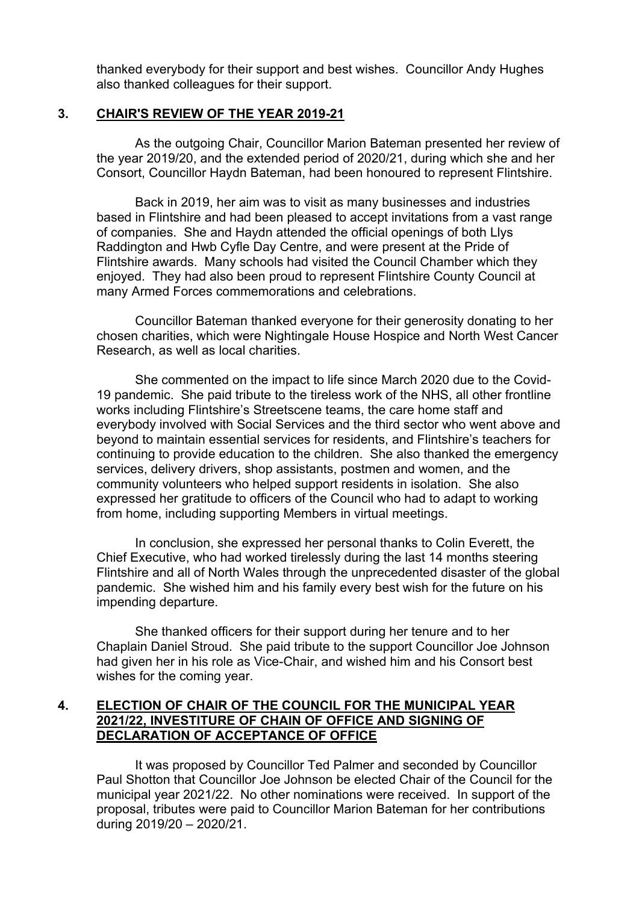thanked everybody for their support and best wishes. Councillor Andy Hughes also thanked colleagues for their support.

## **3. CHAIR'S REVIEW OF THE YEAR 2019-21**

As the outgoing Chair, Councillor Marion Bateman presented her review of the year 2019/20, and the extended period of 2020/21, during which she and her Consort, Councillor Haydn Bateman, had been honoured to represent Flintshire.

Back in 2019, her aim was to visit as many businesses and industries based in Flintshire and had been pleased to accept invitations from a vast range of companies. She and Haydn attended the official openings of both Llys Raddington and Hwb Cyfle Day Centre, and were present at the Pride of Flintshire awards. Many schools had visited the Council Chamber which they enjoyed. They had also been proud to represent Flintshire County Council at many Armed Forces commemorations and celebrations.

Councillor Bateman thanked everyone for their generosity donating to her chosen charities, which were Nightingale House Hospice and North West Cancer Research, as well as local charities.

She commented on the impact to life since March 2020 due to the Covid-19 pandemic. She paid tribute to the tireless work of the NHS, all other frontline works including Flintshire's Streetscene teams, the care home staff and everybody involved with Social Services and the third sector who went above and beyond to maintain essential services for residents, and Flintshire's teachers for continuing to provide education to the children. She also thanked the emergency services, delivery drivers, shop assistants, postmen and women, and the community volunteers who helped support residents in isolation. She also expressed her gratitude to officers of the Council who had to adapt to working from home, including supporting Members in virtual meetings.

In conclusion, she expressed her personal thanks to Colin Everett, the Chief Executive, who had worked tirelessly during the last 14 months steering Flintshire and all of North Wales through the unprecedented disaster of the global pandemic. She wished him and his family every best wish for the future on his impending departure.

She thanked officers for their support during her tenure and to her Chaplain Daniel Stroud. She paid tribute to the support Councillor Joe Johnson had given her in his role as Vice-Chair, and wished him and his Consort best wishes for the coming year.

## **4. ELECTION OF CHAIR OF THE COUNCIL FOR THE MUNICIPAL YEAR 2021/22, INVESTITURE OF CHAIN OF OFFICE AND SIGNING OF DECLARATION OF ACCEPTANCE OF OFFICE**

It was proposed by Councillor Ted Palmer and seconded by Councillor Paul Shotton that Councillor Joe Johnson be elected Chair of the Council for the municipal year 2021/22. No other nominations were received. In support of the proposal, tributes were paid to Councillor Marion Bateman for her contributions during 2019/20 – 2020/21.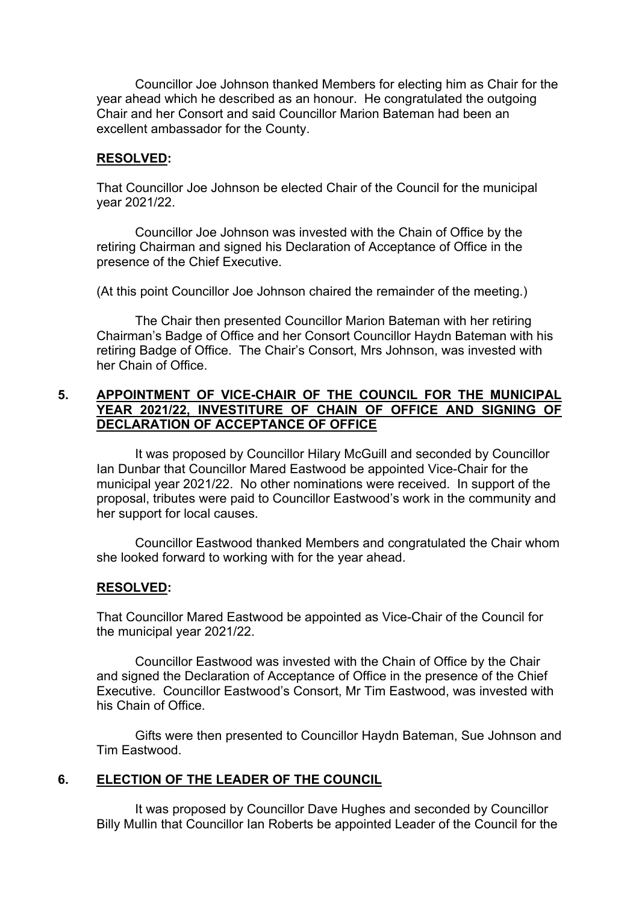Councillor Joe Johnson thanked Members for electing him as Chair for the year ahead which he described as an honour. He congratulated the outgoing Chair and her Consort and said Councillor Marion Bateman had been an excellent ambassador for the County.

### **RESOLVED:**

That Councillor Joe Johnson be elected Chair of the Council for the municipal year 2021/22.

Councillor Joe Johnson was invested with the Chain of Office by the retiring Chairman and signed his Declaration of Acceptance of Office in the presence of the Chief Executive.

(At this point Councillor Joe Johnson chaired the remainder of the meeting.)

The Chair then presented Councillor Marion Bateman with her retiring Chairman's Badge of Office and her Consort Councillor Haydn Bateman with his retiring Badge of Office. The Chair's Consort, Mrs Johnson, was invested with her Chain of Office.

## **5. APPOINTMENT OF VICE-CHAIR OF THE COUNCIL FOR THE MUNICIPAL YEAR 2021/22, INVESTITURE OF CHAIN OF OFFICE AND SIGNING OF DECLARATION OF ACCEPTANCE OF OFFICE**

It was proposed by Councillor Hilary McGuill and seconded by Councillor Ian Dunbar that Councillor Mared Eastwood be appointed Vice-Chair for the municipal year 2021/22. No other nominations were received. In support of the proposal, tributes were paid to Councillor Eastwood's work in the community and her support for local causes.

Councillor Eastwood thanked Members and congratulated the Chair whom she looked forward to working with for the year ahead.

### **RESOLVED:**

That Councillor Mared Eastwood be appointed as Vice-Chair of the Council for the municipal year 2021/22.

Councillor Eastwood was invested with the Chain of Office by the Chair and signed the Declaration of Acceptance of Office in the presence of the Chief Executive. Councillor Eastwood's Consort, Mr Tim Eastwood, was invested with his Chain of Office.

Gifts were then presented to Councillor Haydn Bateman, Sue Johnson and Tim Eastwood.

## **6. ELECTION OF THE LEADER OF THE COUNCIL**

It was proposed by Councillor Dave Hughes and seconded by Councillor Billy Mullin that Councillor Ian Roberts be appointed Leader of the Council for the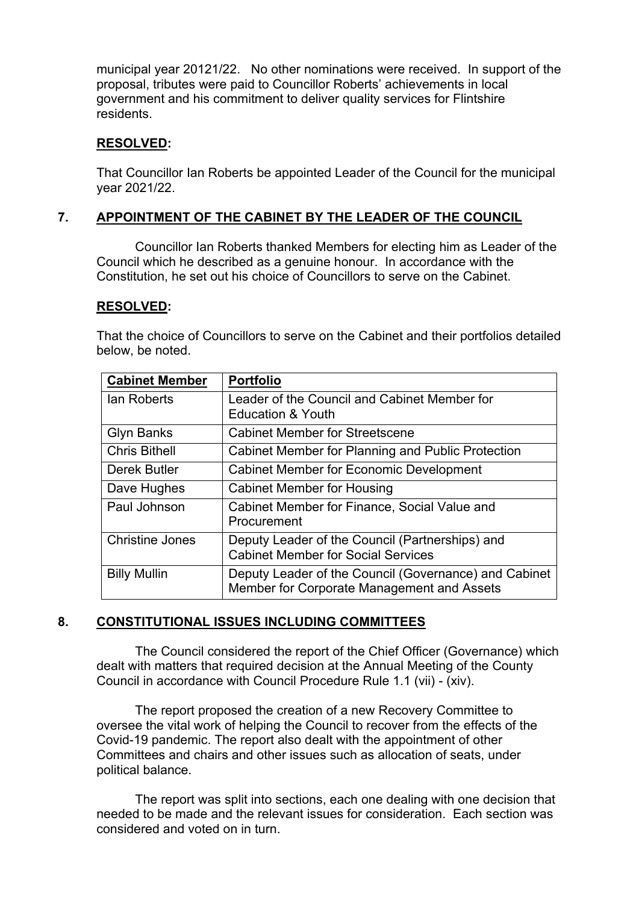municipal year 20121/22. No other nominations were received. In support of the proposal, tributes were paid to Councillor Roberts' achievements in local government and his commitment to deliver quality services for Flintshire residents.

## **RESOLVED:**

That Councillor Ian Roberts be appointed Leader of the Council for the municipal year 2021/22.

# **7. APPOINTMENT OF THE CABINET BY THE LEADER OF THE COUNCIL**

Councillor Ian Roberts thanked Members for electing him as Leader of the Council which he described as a genuine honour. In accordance with the Constitution, he set out his choice of Councillors to serve on the Cabinet.

### **RESOLVED:**

That the choice of Councillors to serve on the Cabinet and their portfolios detailed below, be noted.

| <b>Cabinet Member</b>  | <b>Portfolio</b>                                      |
|------------------------|-------------------------------------------------------|
| lan Roberts            | Leader of the Council and Cabinet Member for          |
|                        | <b>Education &amp; Youth</b>                          |
| <b>Glyn Banks</b>      | <b>Cabinet Member for Streetscene</b>                 |
| <b>Chris Bithell</b>   | Cabinet Member for Planning and Public Protection     |
| Derek Butler           | <b>Cabinet Member for Economic Development</b>        |
| Dave Hughes            | <b>Cabinet Member for Housing</b>                     |
| Paul Johnson           | Cabinet Member for Finance, Social Value and          |
|                        | Procurement                                           |
| <b>Christine Jones</b> | Deputy Leader of the Council (Partnerships) and       |
|                        | <b>Cabinet Member for Social Services</b>             |
| <b>Billy Mullin</b>    | Deputy Leader of the Council (Governance) and Cabinet |
|                        | Member for Corporate Management and Assets            |

## **8. CONSTITUTIONAL ISSUES INCLUDING COMMITTEES**

The Council considered the report of the Chief Officer (Governance) which dealt with matters that required decision at the Annual Meeting of the County Council in accordance with Council Procedure Rule 1.1 (vii) - (xiv).

The report proposed the creation of a new Recovery Committee to oversee the vital work of helping the Council to recover from the effects of the Covid-19 pandemic. The report also dealt with the appointment of other Committees and chairs and other issues such as allocation of seats, under political balance.

The report was split into sections, each one dealing with one decision that needed to be made and the relevant issues for consideration. Each section was considered and voted on in turn.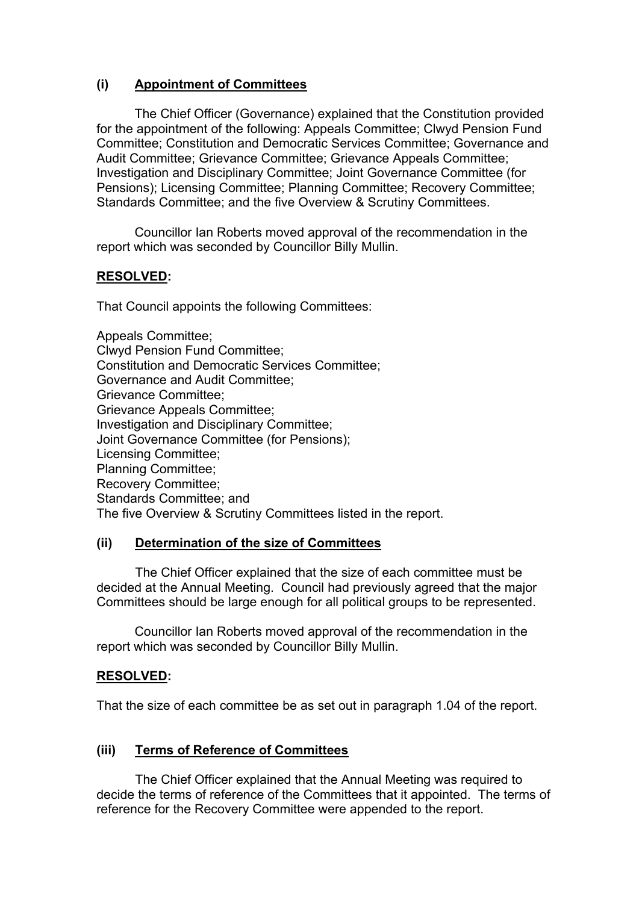# **(i) Appointment of Committees**

The Chief Officer (Governance) explained that the Constitution provided for the appointment of the following: Appeals Committee; Clwyd Pension Fund Committee; Constitution and Democratic Services Committee; Governance and Audit Committee; Grievance Committee; Grievance Appeals Committee; Investigation and Disciplinary Committee; Joint Governance Committee (for Pensions); Licensing Committee; Planning Committee; Recovery Committee; Standards Committee; and the five Overview & Scrutiny Committees.

Councillor Ian Roberts moved approval of the recommendation in the report which was seconded by Councillor Billy Mullin.

## **RESOLVED:**

That Council appoints the following Committees:

Appeals Committee; Clwyd Pension Fund Committee; Constitution and Democratic Services Committee; Governance and Audit Committee; Grievance Committee; Grievance Appeals Committee; Investigation and Disciplinary Committee; Joint Governance Committee (for Pensions); Licensing Committee; Planning Committee; Recovery Committee; Standards Committee; and The five Overview & Scrutiny Committees listed in the report.

## **(ii) Determination of the size of Committees**

The Chief Officer explained that the size of each committee must be decided at the Annual Meeting. Council had previously agreed that the major Committees should be large enough for all political groups to be represented.

Councillor Ian Roberts moved approval of the recommendation in the report which was seconded by Councillor Billy Mullin.

## **RESOLVED:**

That the size of each committee be as set out in paragraph 1.04 of the report.

## **(iii) Terms of Reference of Committees**

The Chief Officer explained that the Annual Meeting was required to decide the terms of reference of the Committees that it appointed. The terms of reference for the Recovery Committee were appended to the report.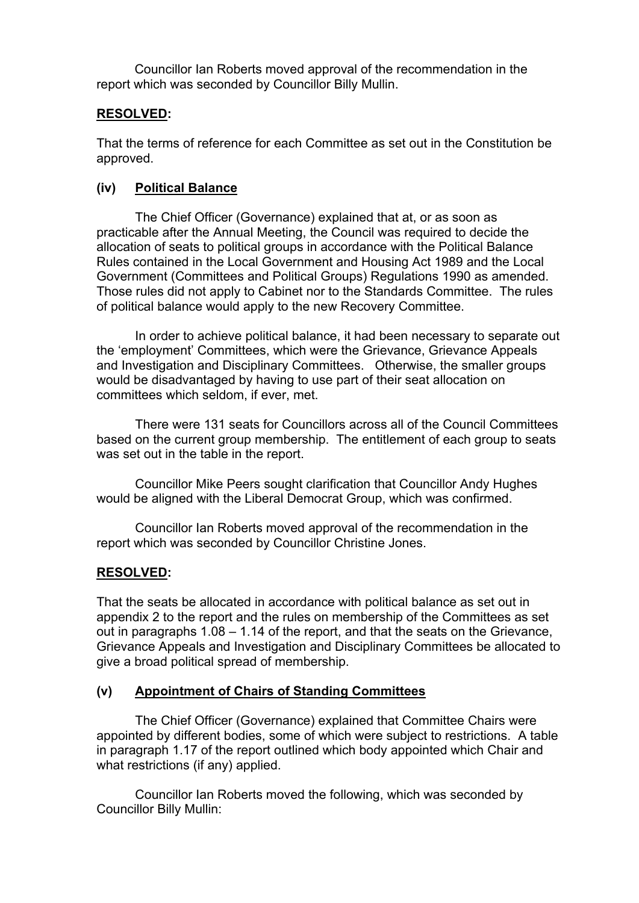Councillor Ian Roberts moved approval of the recommendation in the report which was seconded by Councillor Billy Mullin.

## **RESOLVED:**

That the terms of reference for each Committee as set out in the Constitution be approved.

## **(iv) Political Balance**

The Chief Officer (Governance) explained that at, or as soon as practicable after the Annual Meeting, the Council was required to decide the allocation of seats to political groups in accordance with the Political Balance Rules contained in the Local Government and Housing Act 1989 and the Local Government (Committees and Political Groups) Regulations 1990 as amended. Those rules did not apply to Cabinet nor to the Standards Committee. The rules of political balance would apply to the new Recovery Committee.

In order to achieve political balance, it had been necessary to separate out the 'employment' Committees, which were the Grievance, Grievance Appeals and Investigation and Disciplinary Committees. Otherwise, the smaller groups would be disadvantaged by having to use part of their seat allocation on committees which seldom, if ever, met.

There were 131 seats for Councillors across all of the Council Committees based on the current group membership. The entitlement of each group to seats was set out in the table in the report.

Councillor Mike Peers sought clarification that Councillor Andy Hughes would be aligned with the Liberal Democrat Group, which was confirmed.

Councillor Ian Roberts moved approval of the recommendation in the report which was seconded by Councillor Christine Jones.

## **RESOLVED:**

That the seats be allocated in accordance with political balance as set out in appendix 2 to the report and the rules on membership of the Committees as set out in paragraphs 1.08 – 1.14 of the report, and that the seats on the Grievance, Grievance Appeals and Investigation and Disciplinary Committees be allocated to give a broad political spread of membership.

## **(v) Appointment of Chairs of Standing Committees**

The Chief Officer (Governance) explained that Committee Chairs were appointed by different bodies, some of which were subject to restrictions. A table in paragraph 1.17 of the report outlined which body appointed which Chair and what restrictions (if any) applied.

Councillor Ian Roberts moved the following, which was seconded by Councillor Billy Mullin: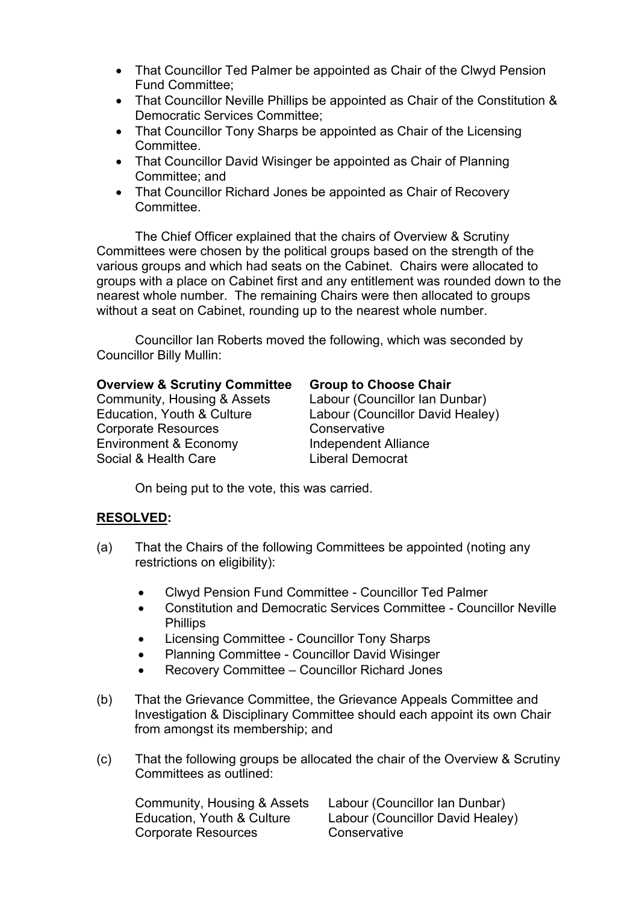- That Councillor Ted Palmer be appointed as Chair of the Clwyd Pension Fund Committee;
- That Councillor Neville Phillips be appointed as Chair of the Constitution & Democratic Services Committee;
- That Councillor Tony Sharps be appointed as Chair of the Licensing Committee.
- That Councillor David Wisinger be appointed as Chair of Planning Committee; and
- That Councillor Richard Jones be appointed as Chair of Recovery Committee.

The Chief Officer explained that the chairs of Overview & Scrutiny Committees were chosen by the political groups based on the strength of the various groups and which had seats on the Cabinet. Chairs were allocated to groups with a place on Cabinet first and any entitlement was rounded down to the nearest whole number. The remaining Chairs were then allocated to groups without a seat on Cabinet, rounding up to the nearest whole number.

Councillor Ian Roberts moved the following, which was seconded by Councillor Billy Mullin:

## **Overview & Scrutiny Committee Group to Choose Chair**

Community, Housing & Assets Labour (Councillor Ian Dunbar) Corporate Resources **Conservative** Environment & Economy **Independent Alliance** Social & Health Care **Liberal Democrat** 

Education, Youth & Culture Labour (Councillor David Healey)

On being put to the vote, this was carried.

# **RESOLVED:**

- (a) That the Chairs of the following Committees be appointed (noting any restrictions on eligibility):
	- Clwyd Pension Fund Committee Councillor Ted Palmer
	- Constitution and Democratic Services Committee Councillor Neville **Phillips**
	- Licensing Committee Councillor Tony Sharps
	- Planning Committee Councillor David Wisinger
	- Recovery Committee Councillor Richard Jones
- (b) That the Grievance Committee, the Grievance Appeals Committee and Investigation & Disciplinary Committee should each appoint its own Chair from amongst its membership; and
- (c) That the following groups be allocated the chair of the Overview & Scrutiny Committees as outlined:

Community, Housing & Assets Labour (Councillor Ian Dunbar) Education, Youth & Culture Labour (Councillor David Healey) Corporate Resources Conservative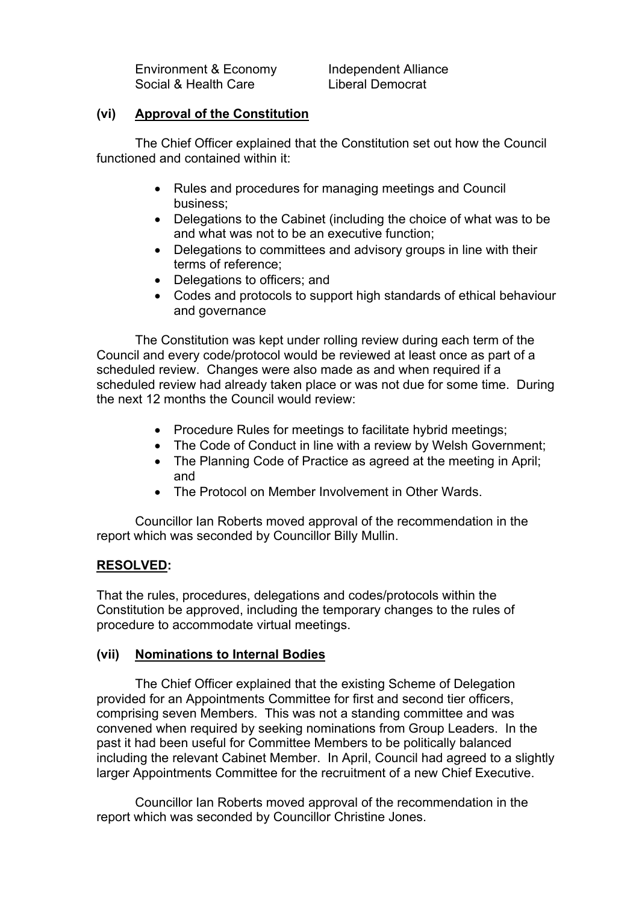Environment & Economy Independent Alliance Social & Health Care **Liberal Democrat** 

### **(vi) Approval of the Constitution**

The Chief Officer explained that the Constitution set out how the Council functioned and contained within it:

- Rules and procedures for managing meetings and Council business;
- Delegations to the Cabinet (including the choice of what was to be and what was not to be an executive function;
- Delegations to committees and advisory groups in line with their terms of reference;
- Delegations to officers; and
- Codes and protocols to support high standards of ethical behaviour and governance

The Constitution was kept under rolling review during each term of the Council and every code/protocol would be reviewed at least once as part of a scheduled review. Changes were also made as and when required if a scheduled review had already taken place or was not due for some time. During the next 12 months the Council would review:

- Procedure Rules for meetings to facilitate hybrid meetings;
- The Code of Conduct in line with a review by Welsh Government;
- The Planning Code of Practice as agreed at the meeting in April; and
- The Protocol on Member Involvement in Other Wards

Councillor Ian Roberts moved approval of the recommendation in the report which was seconded by Councillor Billy Mullin.

## **RESOLVED:**

That the rules, procedures, delegations and codes/protocols within the Constitution be approved, including the temporary changes to the rules of procedure to accommodate virtual meetings.

## **(vii) Nominations to Internal Bodies**

The Chief Officer explained that the existing Scheme of Delegation provided for an Appointments Committee for first and second tier officers, comprising seven Members. This was not a standing committee and was convened when required by seeking nominations from Group Leaders. In the past it had been useful for Committee Members to be politically balanced including the relevant Cabinet Member. In April, Council had agreed to a slightly larger Appointments Committee for the recruitment of a new Chief Executive.

Councillor Ian Roberts moved approval of the recommendation in the report which was seconded by Councillor Christine Jones.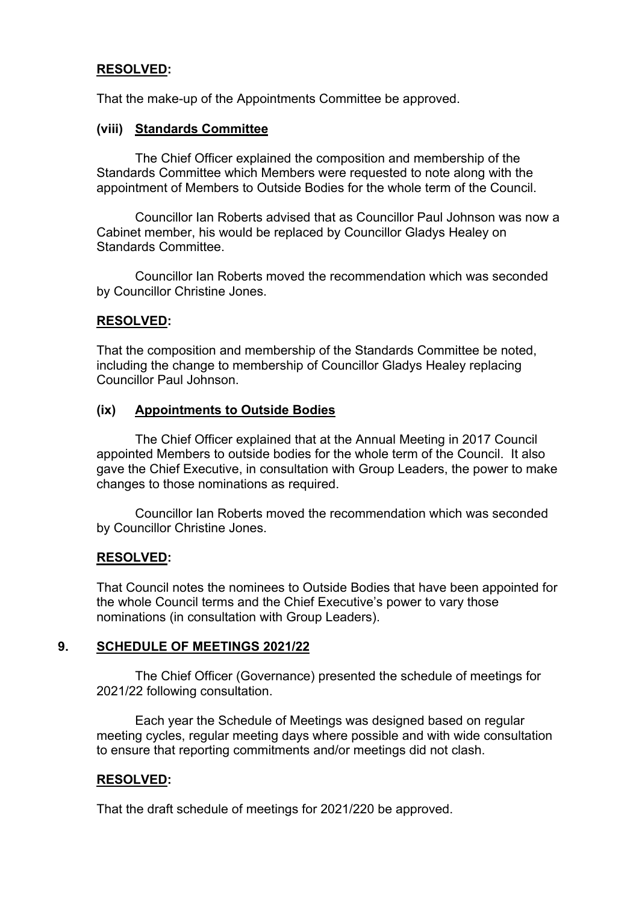## **RESOLVED:**

That the make-up of the Appointments Committee be approved.

## **(viii) Standards Committee**

The Chief Officer explained the composition and membership of the Standards Committee which Members were requested to note along with the appointment of Members to Outside Bodies for the whole term of the Council.

Councillor Ian Roberts advised that as Councillor Paul Johnson was now a Cabinet member, his would be replaced by Councillor Gladys Healey on Standards Committee.

Councillor Ian Roberts moved the recommendation which was seconded by Councillor Christine Jones.

### **RESOLVED:**

That the composition and membership of the Standards Committee be noted, including the change to membership of Councillor Gladys Healey replacing Councillor Paul Johnson.

### **(ix) Appointments to Outside Bodies**

The Chief Officer explained that at the Annual Meeting in 2017 Council appointed Members to outside bodies for the whole term of the Council. It also gave the Chief Executive, in consultation with Group Leaders, the power to make changes to those nominations as required.

Councillor Ian Roberts moved the recommendation which was seconded by Councillor Christine Jones.

## **RESOLVED:**

That Council notes the nominees to Outside Bodies that have been appointed for the whole Council terms and the Chief Executive's power to vary those nominations (in consultation with Group Leaders).

## **9. SCHEDULE OF MEETINGS 2021/22**

The Chief Officer (Governance) presented the schedule of meetings for 2021/22 following consultation.

Each year the Schedule of Meetings was designed based on regular meeting cycles, regular meeting days where possible and with wide consultation to ensure that reporting commitments and/or meetings did not clash.

## **RESOLVED:**

That the draft schedule of meetings for 2021/220 be approved.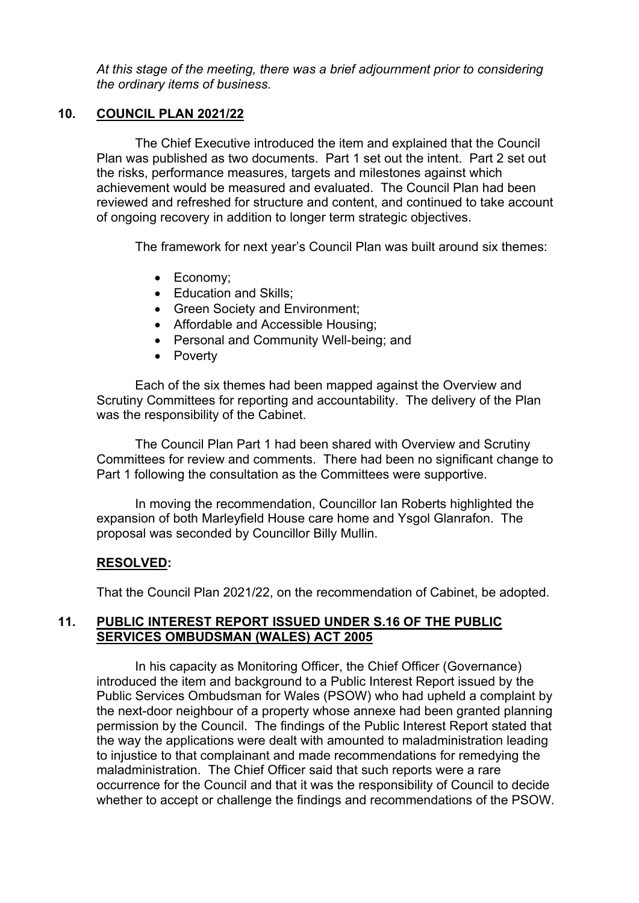*At this stage of the meeting, there was a brief adjournment prior to considering the ordinary items of business.*

## **10. COUNCIL PLAN 2021/22**

The Chief Executive introduced the item and explained that the Council Plan was published as two documents. Part 1 set out the intent. Part 2 set out the risks, performance measures, targets and milestones against which achievement would be measured and evaluated. The Council Plan had been reviewed and refreshed for structure and content, and continued to take account of ongoing recovery in addition to longer term strategic objectives.

The framework for next year's Council Plan was built around six themes:

- Economy:
- Education and Skills:
- Green Society and Environment;
- Affordable and Accessible Housing;
- Personal and Community Well-being; and
- Poverty

Each of the six themes had been mapped against the Overview and Scrutiny Committees for reporting and accountability. The delivery of the Plan was the responsibility of the Cabinet.

The Council Plan Part 1 had been shared with Overview and Scrutiny Committees for review and comments. There had been no significant change to Part 1 following the consultation as the Committees were supportive.

In moving the recommendation, Councillor Ian Roberts highlighted the expansion of both Marleyfield House care home and Ysgol Glanrafon. The proposal was seconded by Councillor Billy Mullin.

## **RESOLVED:**

That the Council Plan 2021/22, on the recommendation of Cabinet, be adopted.

## **11. PUBLIC INTEREST REPORT ISSUED UNDER S.16 OF THE PUBLIC SERVICES OMBUDSMAN (WALES) ACT 2005**

In his capacity as Monitoring Officer, the Chief Officer (Governance) introduced the item and background to a Public Interest Report issued by the Public Services Ombudsman for Wales (PSOW) who had upheld a complaint by the next-door neighbour of a property whose annexe had been granted planning permission by the Council. The findings of the Public Interest Report stated that the way the applications were dealt with amounted to maladministration leading to injustice to that complainant and made recommendations for remedying the maladministration. The Chief Officer said that such reports were a rare occurrence for the Council and that it was the responsibility of Council to decide whether to accept or challenge the findings and recommendations of the PSOW.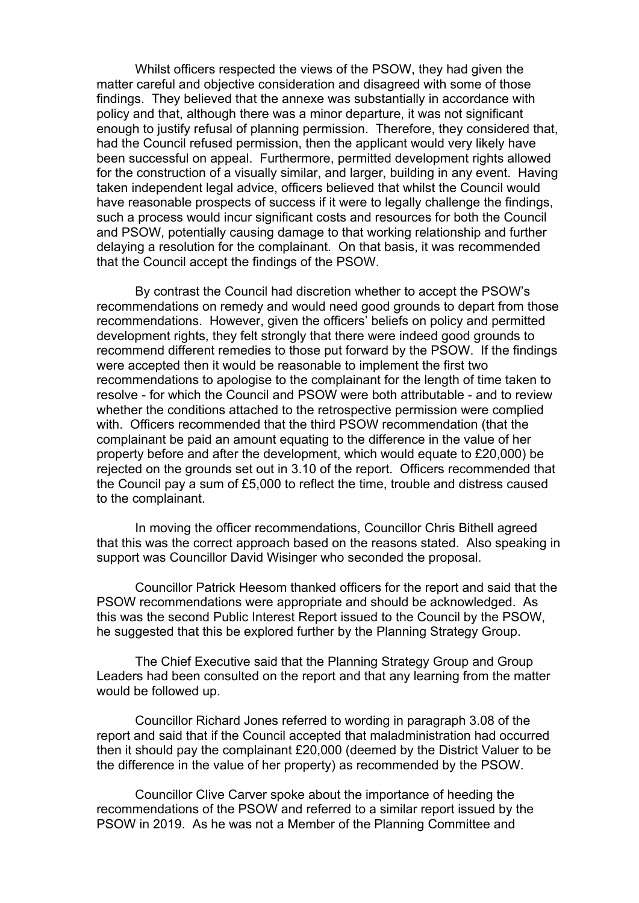Whilst officers respected the views of the PSOW, they had given the matter careful and objective consideration and disagreed with some of those findings. They believed that the annexe was substantially in accordance with policy and that, although there was a minor departure, it was not significant enough to justify refusal of planning permission. Therefore, they considered that, had the Council refused permission, then the applicant would very likely have been successful on appeal. Furthermore, permitted development rights allowed for the construction of a visually similar, and larger, building in any event. Having taken independent legal advice, officers believed that whilst the Council would have reasonable prospects of success if it were to legally challenge the findings, such a process would incur significant costs and resources for both the Council and PSOW, potentially causing damage to that working relationship and further delaying a resolution for the complainant. On that basis, it was recommended that the Council accept the findings of the PSOW.

By contrast the Council had discretion whether to accept the PSOW's recommendations on remedy and would need good grounds to depart from those recommendations. However, given the officers' beliefs on policy and permitted development rights, they felt strongly that there were indeed good grounds to recommend different remedies to those put forward by the PSOW. If the findings were accepted then it would be reasonable to implement the first two recommendations to apologise to the complainant for the length of time taken to resolve - for which the Council and PSOW were both attributable - and to review whether the conditions attached to the retrospective permission were complied with. Officers recommended that the third PSOW recommendation (that the complainant be paid an amount equating to the difference in the value of her property before and after the development, which would equate to £20,000) be rejected on the grounds set out in 3.10 of the report. Officers recommended that the Council pay a sum of £5,000 to reflect the time, trouble and distress caused to the complainant.

In moving the officer recommendations, Councillor Chris Bithell agreed that this was the correct approach based on the reasons stated. Also speaking in support was Councillor David Wisinger who seconded the proposal.

Councillor Patrick Heesom thanked officers for the report and said that the PSOW recommendations were appropriate and should be acknowledged. As this was the second Public Interest Report issued to the Council by the PSOW, he suggested that this be explored further by the Planning Strategy Group.

The Chief Executive said that the Planning Strategy Group and Group Leaders had been consulted on the report and that any learning from the matter would be followed up.

Councillor Richard Jones referred to wording in paragraph 3.08 of the report and said that if the Council accepted that maladministration had occurred then it should pay the complainant £20,000 (deemed by the District Valuer to be the difference in the value of her property) as recommended by the PSOW.

Councillor Clive Carver spoke about the importance of heeding the recommendations of the PSOW and referred to a similar report issued by the PSOW in 2019. As he was not a Member of the Planning Committee and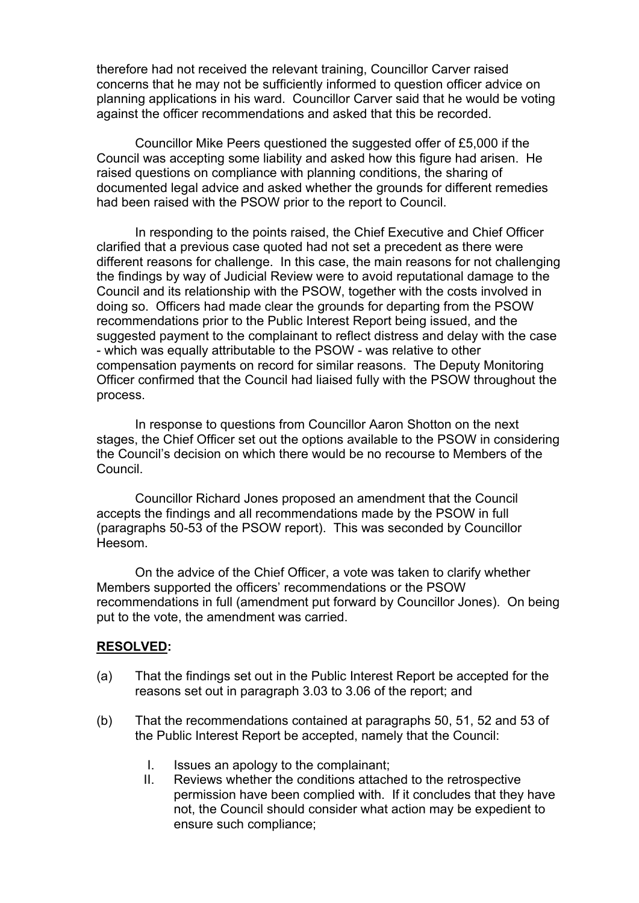therefore had not received the relevant training, Councillor Carver raised concerns that he may not be sufficiently informed to question officer advice on planning applications in his ward. Councillor Carver said that he would be voting against the officer recommendations and asked that this be recorded.

Councillor Mike Peers questioned the suggested offer of £5,000 if the Council was accepting some liability and asked how this figure had arisen. He raised questions on compliance with planning conditions, the sharing of documented legal advice and asked whether the grounds for different remedies had been raised with the PSOW prior to the report to Council.

In responding to the points raised, the Chief Executive and Chief Officer clarified that a previous case quoted had not set a precedent as there were different reasons for challenge. In this case, the main reasons for not challenging the findings by way of Judicial Review were to avoid reputational damage to the Council and its relationship with the PSOW, together with the costs involved in doing so. Officers had made clear the grounds for departing from the PSOW recommendations prior to the Public Interest Report being issued, and the suggested payment to the complainant to reflect distress and delay with the case - which was equally attributable to the PSOW - was relative to other compensation payments on record for similar reasons. The Deputy Monitoring Officer confirmed that the Council had liaised fully with the PSOW throughout the process.

In response to questions from Councillor Aaron Shotton on the next stages, the Chief Officer set out the options available to the PSOW in considering the Council's decision on which there would be no recourse to Members of the Council.

Councillor Richard Jones proposed an amendment that the Council accepts the findings and all recommendations made by the PSOW in full (paragraphs 50-53 of the PSOW report). This was seconded by Councillor Heesom.

On the advice of the Chief Officer, a vote was taken to clarify whether Members supported the officers' recommendations or the PSOW recommendations in full (amendment put forward by Councillor Jones). On being put to the vote, the amendment was carried.

## **RESOLVED:**

- (a) That the findings set out in the Public Interest Report be accepted for the reasons set out in paragraph 3.03 to 3.06 of the report; and
- (b) That the recommendations contained at paragraphs 50, 51, 52 and 53 of the Public Interest Report be accepted, namely that the Council:
	- I. Issues an apology to the complainant;
	- II. Reviews whether the conditions attached to the retrospective permission have been complied with. If it concludes that they have not, the Council should consider what action may be expedient to ensure such compliance;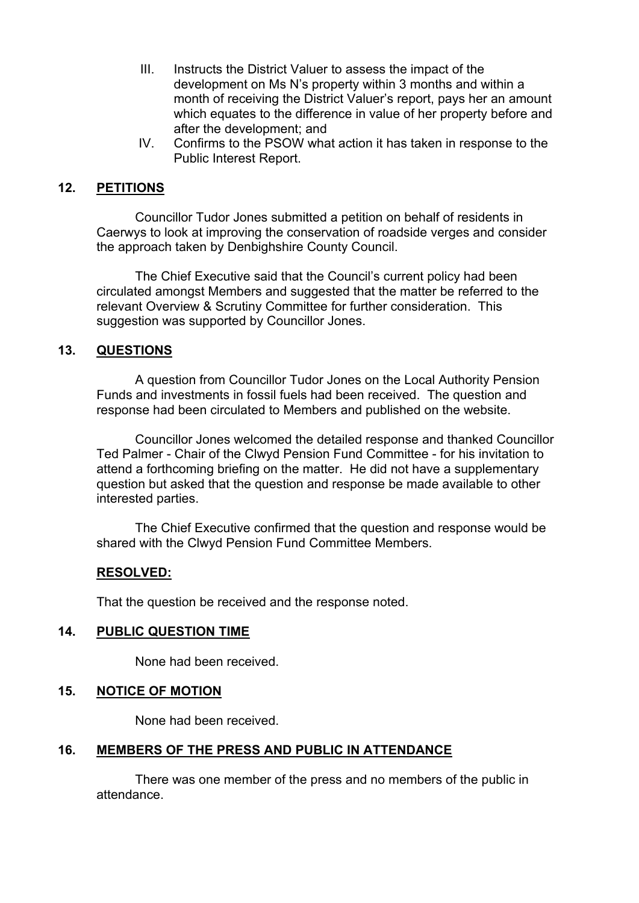- III. Instructs the District Valuer to assess the impact of the development on Ms N's property within 3 months and within a month of receiving the District Valuer's report, pays her an amount which equates to the difference in value of her property before and after the development; and
- IV. Confirms to the PSOW what action it has taken in response to the Public Interest Report.

## **12. PETITIONS**

Councillor Tudor Jones submitted a petition on behalf of residents in Caerwys to look at improving the conservation of roadside verges and consider the approach taken by Denbighshire County Council.

The Chief Executive said that the Council's current policy had been circulated amongst Members and suggested that the matter be referred to the relevant Overview & Scrutiny Committee for further consideration. This suggestion was supported by Councillor Jones.

## **13. QUESTIONS**

A question from Councillor Tudor Jones on the Local Authority Pension Funds and investments in fossil fuels had been received. The question and response had been circulated to Members and published on the website.

Councillor Jones welcomed the detailed response and thanked Councillor Ted Palmer - Chair of the Clwyd Pension Fund Committee - for his invitation to attend a forthcoming briefing on the matter. He did not have a supplementary question but asked that the question and response be made available to other interested parties.

The Chief Executive confirmed that the question and response would be shared with the Clwyd Pension Fund Committee Members.

## **RESOLVED:**

That the question be received and the response noted.

## **14. PUBLIC QUESTION TIME**

None had been received.

## **15. NOTICE OF MOTION**

None had been received.

## **16. MEMBERS OF THE PRESS AND PUBLIC IN ATTENDANCE**

There was one member of the press and no members of the public in attendance.